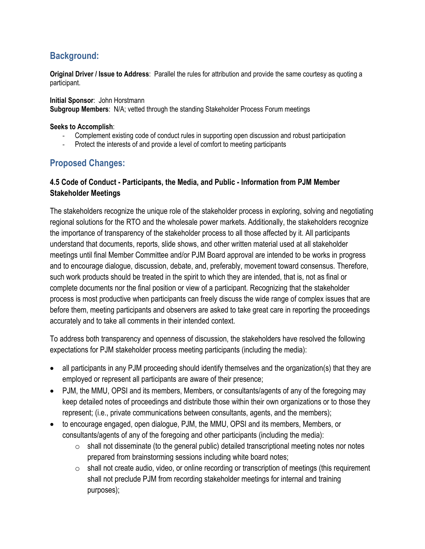## **Background:**

**Original Driver / Issue to Address**: Parallel the rules for attribution and provide the same courtesy as quoting a participant.

**Initial Sponsor**: John Horstmann **Subgroup Members**: N/A; vetted through the standing Stakeholder Process Forum meetings

## **Seeks to Accomplish**:

- Complement existing code of conduct rules in supporting open discussion and robust participation
- Protect the interests of and provide a level of comfort to meeting participants

## **Proposed Changes:**

## **4.5 Code of Conduct - Participants, the Media, and Public - Information from PJM Member Stakeholder Meetings**

The stakeholders recognize the unique role of the stakeholder process in exploring, solving and negotiating regional solutions for the RTO and the wholesale power markets. Additionally, the stakeholders recognize the importance of transparency of the stakeholder process to all those affected by it. All participants understand that documents, reports, slide shows, and other written material used at all stakeholder meetings until final Member Committee and/or PJM Board approval are intended to be works in progress and to encourage dialogue, discussion, debate, and, preferably, movement toward consensus. Therefore, such work products should be treated in the spirit to which they are intended, that is, not as final or complete documents nor the final position or view of a participant. Recognizing that the stakeholder process is most productive when participants can freely discuss the wide range of complex issues that are before them, meeting participants and observers are asked to take great care in reporting the proceedings accurately and to take all comments in their intended context.

To address both transparency and openness of discussion, the stakeholders have resolved the following expectations for PJM stakeholder process meeting participants (including the media):

- all participants in any PJM proceeding should identify themselves and the organization(s) that they are employed or represent all participants are aware of their presence;
- PJM, the MMU, OPSI and its members, Members, or consultants/agents of any of the foregoing may keep detailed notes of proceedings and distribute those within their own organizations or to those they represent; (i.e., private communications between consultants, agents, and the members);
- to encourage engaged, open dialogue, PJM, the MMU, OPSI and its members, Members, or consultants/agents of any of the foregoing and other participants (including the media):
	- $\circ$  shall not disseminate (to the general public) detailed transcriptional meeting notes nor notes prepared from brainstorming sessions including white board notes;
	- $\circ$  shall not create audio, video, or online recording or transcription of meetings (this requirement shall not preclude PJM from recording stakeholder meetings for internal and training purposes);